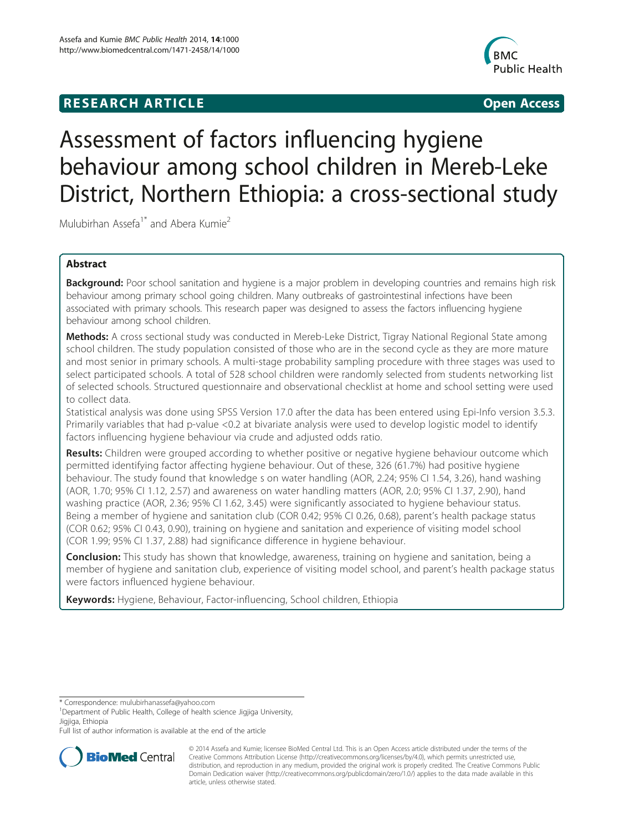# **RESEARCH ARTICLE Example 2014 12:30 The SEAR CHA R TIGGS**



# Assessment of factors influencing hygiene behaviour among school children in Mereb-Leke District, Northern Ethiopia: a cross-sectional study

Mulubirhan Assefa<sup>1\*</sup> and Abera Kumie<sup>2</sup>

# Abstract

Background: Poor school sanitation and hygiene is a major problem in developing countries and remains high risk behaviour among primary school going children. Many outbreaks of gastrointestinal infections have been associated with primary schools. This research paper was designed to assess the factors influencing hygiene behaviour among school children.

Methods: A cross sectional study was conducted in Mereb-Leke District, Tigray National Regional State among school children. The study population consisted of those who are in the second cycle as they are more mature and most senior in primary schools. A multi-stage probability sampling procedure with three stages was used to select participated schools. A total of 528 school children were randomly selected from students networking list of selected schools. Structured questionnaire and observational checklist at home and school setting were used to collect data.

Statistical analysis was done using SPSS Version 17.0 after the data has been entered using Epi-Info version 3.5.3. Primarily variables that had p-value <0.2 at bivariate analysis were used to develop logistic model to identify factors influencing hygiene behaviour via crude and adjusted odds ratio.

Results: Children were grouped according to whether positive or negative hygiene behaviour outcome which permitted identifying factor affecting hygiene behaviour. Out of these, 326 (61.7%) had positive hygiene behaviour. The study found that knowledge s on water handling (AOR, 2.24; 95% CI 1.54, 3.26), hand washing (AOR, 1.70; 95% CI 1.12, 2.57) and awareness on water handling matters (AOR, 2.0; 95% CI 1.37, 2.90), hand washing practice (AOR, 2.36; 95% CI 1.62, 3.45) were significantly associated to hygiene behaviour status. Being a member of hygiene and sanitation club (COR 0.42; 95% CI 0.26, 0.68), parent's health package status (COR 0.62; 95% CI 0.43, 0.90), training on hygiene and sanitation and experience of visiting model school (COR 1.99; 95% CI 1.37, 2.88) had significance difference in hygiene behaviour.

**Conclusion:** This study has shown that knowledge, awareness, training on hygiene and sanitation, being a member of hygiene and sanitation club, experience of visiting model school, and parent's health package status were factors influenced hygiene behaviour.

Keywords: Hygiene, Behaviour, Factor-influencing, School children, Ethiopia

Full list of author information is available at the end of the article



<sup>© 2014</sup> Assefa and Kumie; licensee BioMed Central Ltd. This is an Open Access article distributed under the terms of the Creative Commons Attribution License (<http://creativecommons.org/licenses/by/4.0>), which permits unrestricted use, distribution, and reproduction in any medium, provided the original work is properly credited. The Creative Commons Public Domain Dedication waiver [\(http://creativecommons.org/publicdomain/zero/1.0/\)](http://creativecommons.org/publicdomain/zero/1.0/) applies to the data made available in this article, unless otherwise stated.

<sup>\*</sup> Correspondence: [mulubirhanassefa@yahoo.com](mailto:mulubirhanassefa@yahoo.com) <sup>1</sup>

<sup>&</sup>lt;sup>1</sup>Department of Public Health, College of health science Jigjiga University, Jigjiga, Ethiopia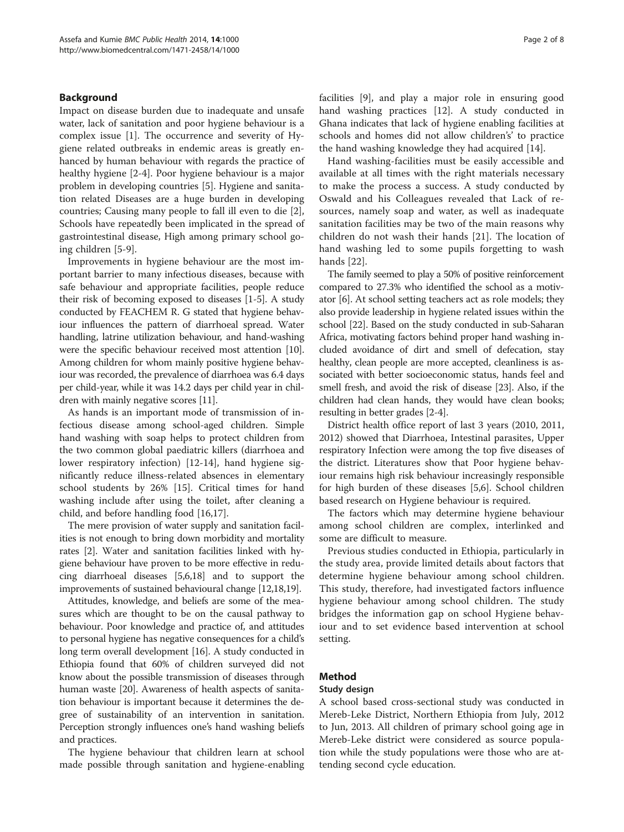# Background

Impact on disease burden due to inadequate and unsafe water, lack of sanitation and poor hygiene behaviour is a complex issue [\[1](#page-7-0)]. The occurrence and severity of Hygiene related outbreaks in endemic areas is greatly enhanced by human behaviour with regards the practice of healthy hygiene [\[2-4](#page-7-0)]. Poor hygiene behaviour is a major problem in developing countries [[5\]](#page-7-0). Hygiene and sanitation related Diseases are a huge burden in developing countries; Causing many people to fall ill even to die [\[2](#page-7-0)], Schools have repeatedly been implicated in the spread of gastrointestinal disease, High among primary school going children [[5-9](#page-7-0)].

Improvements in hygiene behaviour are the most important barrier to many infectious diseases, because with safe behaviour and appropriate facilities, people reduce their risk of becoming exposed to diseases [[1-5\]](#page-7-0). A study conducted by FEACHEM R. G stated that hygiene behaviour influences the pattern of diarrhoeal spread. Water handling, latrine utilization behaviour, and hand-washing were the specific behaviour received most attention [[10](#page-7-0)]. Among children for whom mainly positive hygiene behaviour was recorded, the prevalence of diarrhoea was 6.4 days per child-year, while it was 14.2 days per child year in children with mainly negative scores [\[11\]](#page-7-0).

As hands is an important mode of transmission of infectious disease among school-aged children. Simple hand washing with soap helps to protect children from the two common global paediatric killers (diarrhoea and lower respiratory infection) [[12-14\]](#page-7-0), hand hygiene significantly reduce illness-related absences in elementary school students by 26% [[15\]](#page-7-0). Critical times for hand washing include after using the toilet, after cleaning a child, and before handling food [\[16,17](#page-7-0)].

The mere provision of water supply and sanitation facilities is not enough to bring down morbidity and mortality rates [\[2](#page-7-0)]. Water and sanitation facilities linked with hygiene behaviour have proven to be more effective in reducing diarrhoeal diseases [[5,6,18\]](#page-7-0) and to support the improvements of sustained behavioural change [[12,18,19\]](#page-7-0).

Attitudes, knowledge, and beliefs are some of the measures which are thought to be on the causal pathway to behaviour. Poor knowledge and practice of, and attitudes to personal hygiene has negative consequences for a child's long term overall development [\[16\]](#page-7-0). A study conducted in Ethiopia found that 60% of children surveyed did not know about the possible transmission of diseases through human waste [[20](#page-7-0)]. Awareness of health aspects of sanitation behaviour is important because it determines the degree of sustainability of an intervention in sanitation. Perception strongly influences one's hand washing beliefs and practices.

The hygiene behaviour that children learn at school made possible through sanitation and hygiene-enabling facilities [[9](#page-7-0)], and play a major role in ensuring good hand washing practices [\[12](#page-7-0)]. A study conducted in Ghana indicates that lack of hygiene enabling facilities at schools and homes did not allow children's' to practice the hand washing knowledge they had acquired [[14\]](#page-7-0).

Hand washing-facilities must be easily accessible and available at all times with the right materials necessary to make the process a success. A study conducted by Oswald and his Colleagues revealed that Lack of resources, namely soap and water, as well as inadequate sanitation facilities may be two of the main reasons why children do not wash their hands [[21](#page-7-0)]. The location of hand washing led to some pupils forgetting to wash hands [\[22](#page-7-0)].

The family seemed to play a 50% of positive reinforcement compared to 27.3% who identified the school as a motivator [\[6](#page-7-0)]. At school setting teachers act as role models; they also provide leadership in hygiene related issues within the school [\[22](#page-7-0)]. Based on the study conducted in sub-Saharan Africa, motivating factors behind proper hand washing included avoidance of dirt and smell of defecation, stay healthy, clean people are more accepted, cleanliness is associated with better socioeconomic status, hands feel and smell fresh, and avoid the risk of disease [[23](#page-7-0)]. Also, if the children had clean hands, they would have clean books; resulting in better grades [[2-4\]](#page-7-0).

District health office report of last 3 years (2010, 2011, 2012) showed that Diarrhoea, Intestinal parasites, Upper respiratory Infection were among the top five diseases of the district. Literatures show that Poor hygiene behaviour remains high risk behaviour increasingly responsible for high burden of these diseases [\[5,6](#page-7-0)]. School children based research on Hygiene behaviour is required.

The factors which may determine hygiene behaviour among school children are complex, interlinked and some are difficult to measure.

Previous studies conducted in Ethiopia, particularly in the study area, provide limited details about factors that determine hygiene behaviour among school children. This study, therefore, had investigated factors influence hygiene behaviour among school children. The study bridges the information gap on school Hygiene behaviour and to set evidence based intervention at school setting.

# Method

#### Study design

A school based cross-sectional study was conducted in Mereb-Leke District, Northern Ethiopia from July, 2012 to Jun, 2013. All children of primary school going age in Mereb-Leke district were considered as source population while the study populations were those who are attending second cycle education.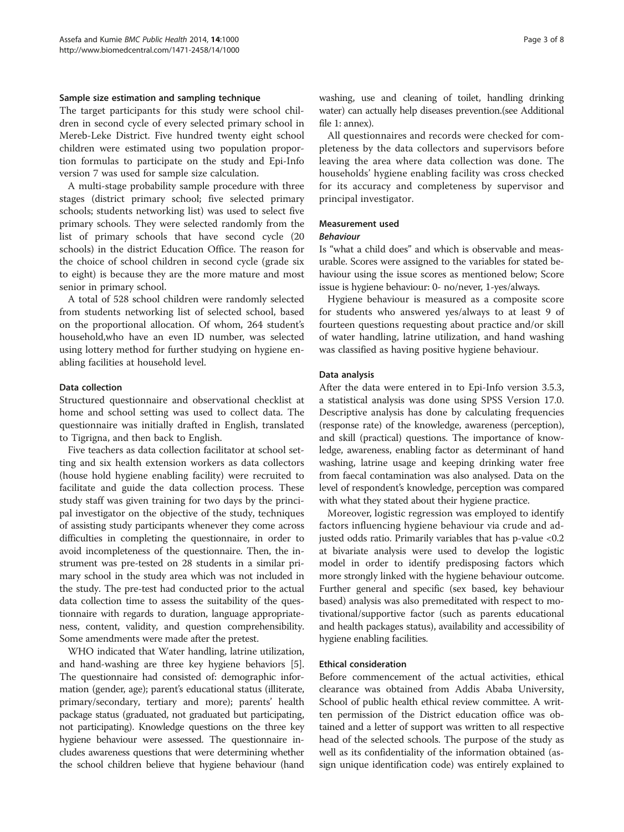#### Sample size estimation and sampling technique

The target participants for this study were school children in second cycle of every selected primary school in Mereb-Leke District. Five hundred twenty eight school children were estimated using two population proportion formulas to participate on the study and Epi-Info version 7 was used for sample size calculation.

A multi-stage probability sample procedure with three stages (district primary school; five selected primary schools; students networking list) was used to select five primary schools. They were selected randomly from the list of primary schools that have second cycle (20 schools) in the district Education Office. The reason for the choice of school children in second cycle (grade six to eight) is because they are the more mature and most senior in primary school.

A total of 528 school children were randomly selected from students networking list of selected school, based on the proportional allocation. Of whom, 264 student's household,who have an even ID number, was selected using lottery method for further studying on hygiene enabling facilities at household level.

#### Data collection

Structured questionnaire and observational checklist at home and school setting was used to collect data. The questionnaire was initially drafted in English, translated to Tigrigna, and then back to English.

Five teachers as data collection facilitator at school setting and six health extension workers as data collectors (house hold hygiene enabling facility) were recruited to facilitate and guide the data collection process. These study staff was given training for two days by the principal investigator on the objective of the study, techniques of assisting study participants whenever they come across difficulties in completing the questionnaire, in order to avoid incompleteness of the questionnaire. Then, the instrument was pre-tested on 28 students in a similar primary school in the study area which was not included in the study. The pre-test had conducted prior to the actual data collection time to assess the suitability of the questionnaire with regards to duration, language appropriateness, content, validity, and question comprehensibility. Some amendments were made after the pretest.

WHO indicated that Water handling, latrine utilization, and hand-washing are three key hygiene behaviors [[5](#page-7-0)]. The questionnaire had consisted of: demographic information (gender, age); parent's educational status (illiterate, primary/secondary, tertiary and more); parents' health package status (graduated, not graduated but participating, not participating). Knowledge questions on the three key hygiene behaviour were assessed. The questionnaire includes awareness questions that were determining whether the school children believe that hygiene behaviour (hand washing, use and cleaning of toilet, handling drinking water) can actually help diseases prevention.(see Additional file [1:](#page-6-0) annex).

All questionnaires and records were checked for completeness by the data collectors and supervisors before leaving the area where data collection was done. The households' hygiene enabling facility was cross checked for its accuracy and completeness by supervisor and principal investigator.

# Measurement used

# Behaviour

Is "what a child does" and which is observable and measurable. Scores were assigned to the variables for stated behaviour using the issue scores as mentioned below; Score issue is hygiene behaviour: 0- no/never, 1-yes/always.

Hygiene behaviour is measured as a composite score for students who answered yes/always to at least 9 of fourteen questions requesting about practice and/or skill of water handling, latrine utilization, and hand washing was classified as having positive hygiene behaviour.

#### Data analysis

After the data were entered in to Epi-Info version 3.5.3, a statistical analysis was done using SPSS Version 17.0. Descriptive analysis has done by calculating frequencies (response rate) of the knowledge, awareness (perception), and skill (practical) questions. The importance of knowledge, awareness, enabling factor as determinant of hand washing, latrine usage and keeping drinking water free from faecal contamination was also analysed. Data on the level of respondent's knowledge, perception was compared with what they stated about their hygiene practice.

Moreover, logistic regression was employed to identify factors influencing hygiene behaviour via crude and adjusted odds ratio. Primarily variables that has p-value <0.2 at bivariate analysis were used to develop the logistic model in order to identify predisposing factors which more strongly linked with the hygiene behaviour outcome. Further general and specific (sex based, key behaviour based) analysis was also premeditated with respect to motivational/supportive factor (such as parents educational and health packages status), availability and accessibility of hygiene enabling facilities.

#### Ethical consideration

Before commencement of the actual activities, ethical clearance was obtained from Addis Ababa University, School of public health ethical review committee. A written permission of the District education office was obtained and a letter of support was written to all respective head of the selected schools. The purpose of the study as well as its confidentiality of the information obtained (assign unique identification code) was entirely explained to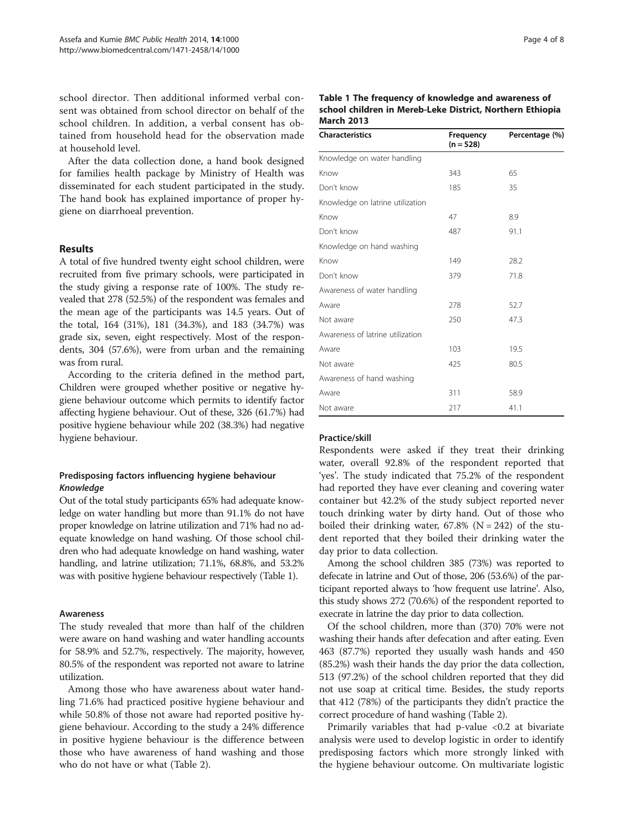school director. Then additional informed verbal consent was obtained from school director on behalf of the school children. In addition, a verbal consent has obtained from household head for the observation made at household level.

After the data collection done, a hand book designed for families health package by Ministry of Health was disseminated for each student participated in the study. The hand book has explained importance of proper hygiene on diarrhoeal prevention.

# Results

A total of five hundred twenty eight school children, were recruited from five primary schools, were participated in the study giving a response rate of 100%. The study revealed that 278 (52.5%) of the respondent was females and the mean age of the participants was 14.5 years. Out of the total, 164 (31%), 181 (34.3%), and 183 (34.7%) was grade six, seven, eight respectively. Most of the respondents, 304 (57.6%), were from urban and the remaining was from rural.

According to the criteria defined in the method part, Children were grouped whether positive or negative hygiene behaviour outcome which permits to identify factor affecting hygiene behaviour. Out of these, 326 (61.7%) had positive hygiene behaviour while 202 (38.3%) had negative hygiene behaviour.

# Predisposing factors influencing hygiene behaviour Knowledge

Out of the total study participants 65% had adequate knowledge on water handling but more than 91.1% do not have proper knowledge on latrine utilization and 71% had no adequate knowledge on hand washing. Of those school children who had adequate knowledge on hand washing, water handling, and latrine utilization; 71.1%, 68.8%, and 53.2% was with positive hygiene behaviour respectively (Table 1).

#### Awareness

The study revealed that more than half of the children were aware on hand washing and water handling accounts for 58.9% and 52.7%, respectively. The majority, however, 80.5% of the respondent was reported not aware to latrine utilization.

Among those who have awareness about water handling 71.6% had practiced positive hygiene behaviour and while 50.8% of those not aware had reported positive hygiene behaviour. According to the study a 24% difference in positive hygiene behaviour is the difference between those who have awareness of hand washing and those who do not have or what (Table [2\)](#page-4-0).

| Table 1 The frequency of knowledge and awareness of       |
|-----------------------------------------------------------|
| school children in Mereb-Leke District, Northern Ethiopia |
| <b>March 2013</b>                                         |

| <b>Characteristics</b>           | Frequency<br>$(n = 528)$ | Percentage (%) |
|----------------------------------|--------------------------|----------------|
| Knowledge on water handling      |                          |                |
| Know                             | 343                      | 65             |
| Don't know                       | 185                      | 35             |
| Knowledge on latrine utilization |                          |                |
| Know                             | 47                       | 8.9            |
| Don't know                       | 487                      | 91.1           |
| Knowledge on hand washing        |                          |                |
| Know                             | 149                      | 28.2           |
| Don't know                       | 379                      | 71.8           |
| Awareness of water handling      |                          |                |
| Aware                            | 278                      | 52.7           |
| Not aware                        | 250                      | 47.3           |
| Awareness of latrine utilization |                          |                |
| Aware                            | 103                      | 19.5           |
| Not aware                        | 425                      | 80.5           |
| Awareness of hand washing        |                          |                |
| Aware                            | 311                      | 58.9           |
| Not aware                        | 217                      | 41.1           |

#### Practice/skill

Respondents were asked if they treat their drinking water, overall 92.8% of the respondent reported that 'yes'. The study indicated that 75.2% of the respondent had reported they have ever cleaning and covering water container but 42.2% of the study subject reported never touch drinking water by dirty hand. Out of those who boiled their drinking water,  $67.8\%$  (N = 242) of the student reported that they boiled their drinking water the day prior to data collection.

Among the school children 385 (73%) was reported to defecate in latrine and Out of those, 206 (53.6%) of the participant reported always to 'how frequent use latrine'. Also, this study shows 272 (70.6%) of the respondent reported to execrate in latrine the day prior to data collection.

Of the school children, more than (370) 70% were not washing their hands after defecation and after eating. Even 463 (87.7%) reported they usually wash hands and 450 (85.2%) wash their hands the day prior the data collection, 513 (97.2%) of the school children reported that they did not use soap at critical time. Besides, the study reports that 412 (78%) of the participants they didn't practice the correct procedure of hand washing (Table [2](#page-4-0)).

Primarily variables that had p-value <0.2 at bivariate analysis were used to develop logistic in order to identify predisposing factors which more strongly linked with the hygiene behaviour outcome. On multivariate logistic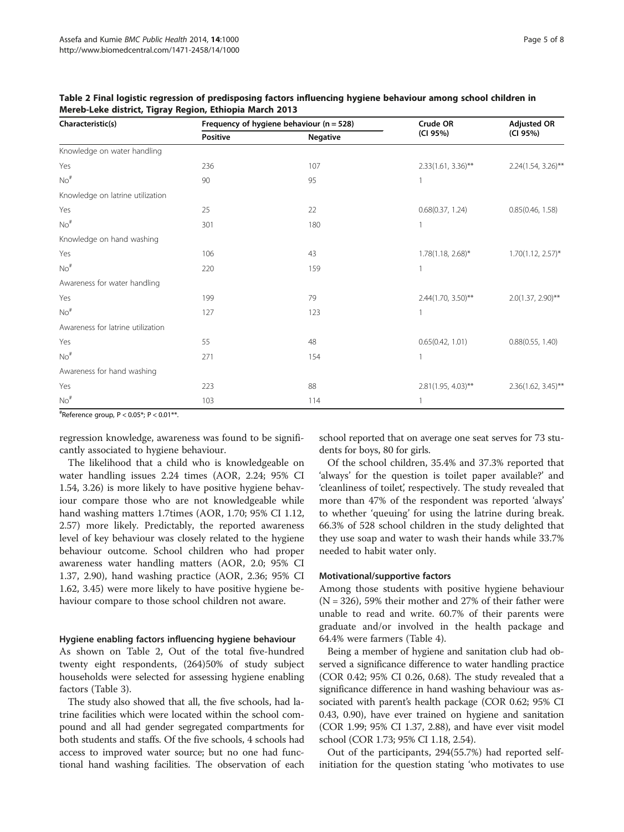| Characteristic(s)                 |          | Frequency of hygiene behaviour ( $n = 528$ ) |                        | <b>Adjusted OR</b>    |
|-----------------------------------|----------|----------------------------------------------|------------------------|-----------------------|
|                                   | Positive | <b>Negative</b>                              | (CI 95%)               | (CI 95%)              |
| Knowledge on water handling       |          |                                              |                        |                       |
| Yes                               | 236      | 107                                          | $2.33(1.61, 3.36)$ **  | 2.24(1.54, 3.26)**    |
| $No$ <sup>#</sup>                 | 90       | 95                                           | 1                      |                       |
| Knowledge on latrine utilization  |          |                                              |                        |                       |
| Yes                               | 25       | 22                                           | 0.68(0.37, 1.24)       | 0.85(0.46, 1.58)      |
| $No$ <sup>#</sup>                 | 301      | 180                                          | 1                      |                       |
| Knowledge on hand washing         |          |                                              |                        |                       |
| Yes                               | 106      | 43                                           | $1.78(1.18, 2.68)^{*}$ | $1.70(1.12, 2.57)^*$  |
| $No$ <sup>#</sup>                 | 220      | 159                                          | $\mathbf{1}$           |                       |
| Awareness for water handling      |          |                                              |                        |                       |
| Yes                               | 199      | 79                                           | 2.44(1.70, 3.50)**     | $2.0(1.37, 2.90)$ **  |
| $No$ <sup>#</sup>                 | 127      | 123                                          | 1                      |                       |
| Awareness for latrine utilization |          |                                              |                        |                       |
| Yes                               | 55       | 48                                           | 0.65(0.42, 1.01)       | 0.88(0.55, 1.40)      |
| $No$ <sup>#</sup>                 | 271      | 154                                          |                        |                       |
| Awareness for hand washing        |          |                                              |                        |                       |
| Yes                               | 223      | 88                                           | $2.81(1.95, 4.03)$ **  | $2.36(1.62, 3.45)$ ** |
| $No$ <sup>#</sup>                 | 103      | 114                                          | 1                      |                       |

<span id="page-4-0"></span>Table 2 Final logistic regression of predisposing factors influencing hygiene behaviour among school children in Mereb-Leke district, Tigray Region, Ethiopia March 2013

# Reference group, P < 0.05\*; P < 0.01\*\*.

regression knowledge, awareness was found to be significantly associated to hygiene behaviour.

The likelihood that a child who is knowledgeable on water handling issues 2.24 times (AOR, 2.24; 95% CI 1.54, 3.26) is more likely to have positive hygiene behaviour compare those who are not knowledgeable while hand washing matters 1.7times (AOR, 1.70; 95% CI 1.12, 2.57) more likely. Predictably, the reported awareness level of key behaviour was closely related to the hygiene behaviour outcome. School children who had proper awareness water handling matters (AOR, 2.0; 95% CI 1.37, 2.90), hand washing practice (AOR, 2.36; 95% CI 1.62, 3.45) were more likely to have positive hygiene behaviour compare to those school children not aware.

#### Hygiene enabling factors influencing hygiene behaviour

As shown on Table 2, Out of the total five-hundred twenty eight respondents, (264)50% of study subject households were selected for assessing hygiene enabling factors (Table [3](#page-5-0)).

The study also showed that all, the five schools, had latrine facilities which were located within the school compound and all had gender segregated compartments for both students and staffs. Of the five schools, 4 schools had access to improved water source; but no one had functional hand washing facilities. The observation of each

school reported that on average one seat serves for 73 students for boys, 80 for girls.

Of the school children, 35.4% and 37.3% reported that 'always' for the question is toilet paper available?' and 'cleanliness of toilet', respectively. The study revealed that more than 47% of the respondent was reported 'always' to whether 'queuing' for using the latrine during break. 66.3% of 528 school children in the study delighted that they use soap and water to wash their hands while 33.7% needed to habit water only.

#### Motivational/supportive factors

Among those students with positive hygiene behaviour  $(N = 326)$ , 59% their mother and 27% of their father were unable to read and write. 60.7% of their parents were graduate and/or involved in the health package and 64.4% were farmers (Table [4\)](#page-6-0).

Being a member of hygiene and sanitation club had observed a significance difference to water handling practice (COR 0.42; 95% CI 0.26, 0.68). The study revealed that a significance difference in hand washing behaviour was associated with parent's health package (COR 0.62; 95% CI 0.43, 0.90), have ever trained on hygiene and sanitation (COR 1.99; 95% CI 1.37, 2.88), and have ever visit model school (COR 1.73; 95% CI 1.18, 2.54).

Out of the participants, 294(55.7%) had reported selfinitiation for the question stating 'who motivates to use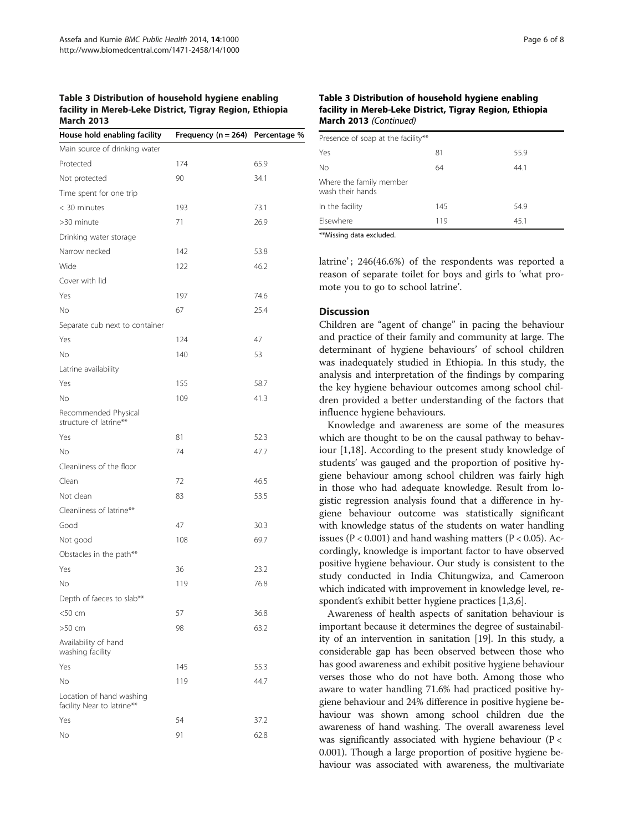# <span id="page-5-0"></span>Table 3 Distribution of household hygiene enabling facility in Mereb-Leke District, Tigray Region, Ethiopia March 2013

| House hold enabling facility                           | Frequency ( $n = 264$ ) | Percentage % |
|--------------------------------------------------------|-------------------------|--------------|
| Main source of drinking water                          |                         |              |
| Protected                                              | 174                     | 65.9         |
| Not protected                                          | 90                      | 34.1         |
| Time spent for one trip                                |                         |              |
| < 30 minutes                                           | 193                     | 73.1         |
| >30 minute                                             | 71                      | 26.9         |
| Drinking water storage                                 |                         |              |
| Narrow necked                                          | 142                     | 53.8         |
| Wide                                                   | 122                     | 46.2         |
| Cover with lid                                         |                         |              |
| Yes                                                    | 197                     | 74.6         |
| No                                                     | 67                      | 25.4         |
| Separate cub next to container                         |                         |              |
| Yes                                                    | 124                     | 47           |
| No                                                     | 140                     | 53           |
| Latrine availability                                   |                         |              |
| Yes                                                    | 155                     | 58.7         |
| No                                                     | 109                     | 41.3         |
| Recommended Physical<br>structure of latrine**         |                         |              |
| Yes                                                    | 81                      | 52.3         |
| No                                                     | 74                      | 47.7         |
| Cleanliness of the floor                               |                         |              |
| Clean                                                  | 72                      | 46.5         |
| Not clean                                              | 83                      | 53.5         |
| Cleanliness of latrine**                               |                         |              |
| Good                                                   | 47                      | 30.3         |
| Not good                                               | 108                     | 69.7         |
| Obstacles in the path**                                |                         |              |
| Yes                                                    | 36                      | 23.2         |
| No                                                     | 119                     | 76.8         |
| Depth of faeces to slab**                              |                         |              |
| $<$ 50 cm                                              | 57                      | 36.8         |
| $>50$ cm                                               | 98                      | 63.2         |
| Availability of hand<br>washing facility               |                         |              |
| Yes                                                    | 145                     | 55.3         |
| No                                                     | 119                     | 44.7         |
| Location of hand washing<br>facility Near to latrine** |                         |              |
| Yes                                                    | 54                      | 37.2         |
| Νo                                                     | 91                      | 62.8         |

#### Table 3 Distribution of household hygiene enabling facility in Mereb-Leke District, Tigray Region, Ethiopia March 2013 (Continued)

| Presence of soap at the facility**          |     |      |
|---------------------------------------------|-----|------|
| Yes                                         | 81  | 55.9 |
| <b>No</b>                                   | 64  | 44.1 |
| Where the family member<br>wash their hands |     |      |
| In the facility                             | 145 | 54.9 |
| Elsewhere                                   | 119 | 45.1 |
| .                                           |     |      |

\*\*Missing data excluded.

latrine'; 246(46.6%) of the respondents was reported a reason of separate toilet for boys and girls to 'what promote you to go to school latrine'.

# Discussion

Children are "agent of change" in pacing the behaviour and practice of their family and community at large. The determinant of hygiene behaviours' of school children was inadequately studied in Ethiopia. In this study, the analysis and interpretation of the findings by comparing the key hygiene behaviour outcomes among school children provided a better understanding of the factors that influence hygiene behaviours.

Knowledge and awareness are some of the measures which are thought to be on the causal pathway to behaviour [[1,18\]](#page-7-0). According to the present study knowledge of students' was gauged and the proportion of positive hygiene behaviour among school children was fairly high in those who had adequate knowledge. Result from logistic regression analysis found that a difference in hygiene behaviour outcome was statistically significant with knowledge status of the students on water handling issues ( $P < 0.001$ ) and hand washing matters ( $P < 0.05$ ). Accordingly, knowledge is important factor to have observed positive hygiene behaviour. Our study is consistent to the study conducted in India Chitungwiza, and Cameroon which indicated with improvement in knowledge level, respondent's exhibit better hygiene practices [[1,3,6](#page-7-0)].

Awareness of health aspects of sanitation behaviour is important because it determines the degree of sustainability of an intervention in sanitation [\[19\]](#page-7-0). In this study, a considerable gap has been observed between those who has good awareness and exhibit positive hygiene behaviour verses those who do not have both. Among those who aware to water handling 71.6% had practiced positive hygiene behaviour and 24% difference in positive hygiene behaviour was shown among school children due the awareness of hand washing. The overall awareness level was significantly associated with hygiene behaviour ( $P <$ 0.001). Though a large proportion of positive hygiene behaviour was associated with awareness, the multivariate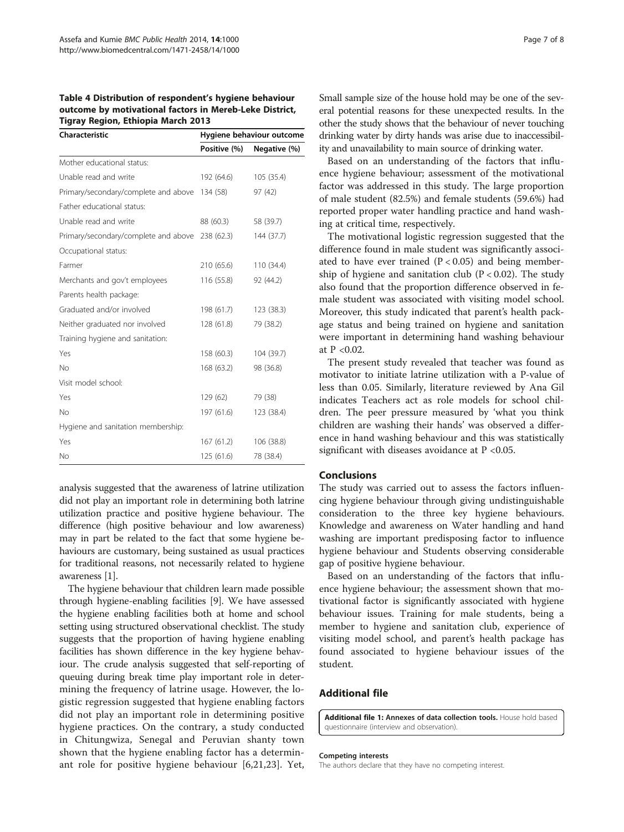<span id="page-6-0"></span>Table 4 Distribution of respondent's hygiene behaviour outcome by motivational factors in Mereb-Leke District, Tigray Region, Ethiopia March 2013

| Characteristic                                  | Hygiene behaviour outcome |              |  |
|-------------------------------------------------|---------------------------|--------------|--|
|                                                 | Positive (%)              | Negative (%) |  |
| Mother educational status:                      |                           |              |  |
| Unable read and write                           | 192 (64.6)                | 105 (35.4)   |  |
| Primary/secondary/complete and above 134 (58)   |                           | 97 (42)      |  |
| Father educational status:                      |                           |              |  |
| Unable read and write                           | 88 (60.3)                 | 58 (39.7)    |  |
| Primary/secondary/complete and above 238 (62.3) |                           | 144 (37.7)   |  |
| Occupational status:                            |                           |              |  |
| Farmer                                          | 210 (65.6)                | 110 (34.4)   |  |
| Merchants and gov't employees                   | 116 (55.8)                | 92 (44.2)    |  |
| Parents health package:                         |                           |              |  |
| Graduated and/or involved                       | 198 (61.7)                | 123 (38.3)   |  |
| Neither graduated nor involved                  | 128 (61.8)                | 79 (38.2)    |  |
| Training hygiene and sanitation:                |                           |              |  |
| Yes                                             | 158 (60.3)                | 104 (39.7)   |  |
| No                                              | 168 (63.2)                | 98 (36.8)    |  |
| Visit model school:                             |                           |              |  |
| Yes                                             | 129 (62)                  | 79 (38)      |  |
| No                                              | 197 (61.6)                | 123 (38.4)   |  |
| Hygiene and sanitation membership:              |                           |              |  |
| Yes                                             | 167 (61.2)                | 106 (38.8)   |  |
| No                                              | 125 (61.6)                | 78 (38.4)    |  |

analysis suggested that the awareness of latrine utilization did not play an important role in determining both latrine utilization practice and positive hygiene behaviour. The difference (high positive behaviour and low awareness) may in part be related to the fact that some hygiene behaviours are customary, being sustained as usual practices for traditional reasons, not necessarily related to hygiene awareness [[1](#page-7-0)].

The hygiene behaviour that children learn made possible through hygiene-enabling facilities [[9](#page-7-0)]. We have assessed the hygiene enabling facilities both at home and school setting using structured observational checklist. The study suggests that the proportion of having hygiene enabling facilities has shown difference in the key hygiene behaviour. The crude analysis suggested that self-reporting of queuing during break time play important role in determining the frequency of latrine usage. However, the logistic regression suggested that hygiene enabling factors did not play an important role in determining positive hygiene practices. On the contrary, a study conducted in Chitungwiza, Senegal and Peruvian shanty town shown that the hygiene enabling factor has a determinant role for positive hygiene behaviour [[6,21,23](#page-7-0)]. Yet, Small sample size of the house hold may be one of the several potential reasons for these unexpected results. In the other the study shows that the behaviour of never touching drinking water by dirty hands was arise due to inaccessibility and unavailability to main source of drinking water.

Based on an understanding of the factors that influence hygiene behaviour; assessment of the motivational factor was addressed in this study. The large proportion of male student (82.5%) and female students (59.6%) had reported proper water handling practice and hand washing at critical time, respectively.

The motivational logistic regression suggested that the difference found in male student was significantly associated to have ever trained  $(P < 0.05)$  and being membership of hygiene and sanitation club  $(P < 0.02)$ . The study also found that the proportion difference observed in female student was associated with visiting model school. Moreover, this study indicated that parent's health package status and being trained on hygiene and sanitation were important in determining hand washing behaviour at P <0.02.

The present study revealed that teacher was found as motivator to initiate latrine utilization with a P-value of less than 0.05. Similarly, literature reviewed by Ana Gil indicates Teachers act as role models for school children. The peer pressure measured by 'what you think children are washing their hands' was observed a difference in hand washing behaviour and this was statistically significant with diseases avoidance at P <0.05.

#### Conclusions

The study was carried out to assess the factors influencing hygiene behaviour through giving undistinguishable consideration to the three key hygiene behaviours. Knowledge and awareness on Water handling and hand washing are important predisposing factor to influence hygiene behaviour and Students observing considerable gap of positive hygiene behaviour.

Based on an understanding of the factors that influence hygiene behaviour; the assessment shown that motivational factor is significantly associated with hygiene behaviour issues. Training for male students, being a member to hygiene and sanitation club, experience of visiting model school, and parent's health package has found associated to hygiene behaviour issues of the student.

# Additional file

[Additional file 1:](http://www.biomedcentral.com/content/supplementary/1471-2458-14-1000-S1.docx) Annexes of data collection tools. House hold based questionnaire (interview and observation).

#### Competing interests

The authors declare that they have no competing interest.